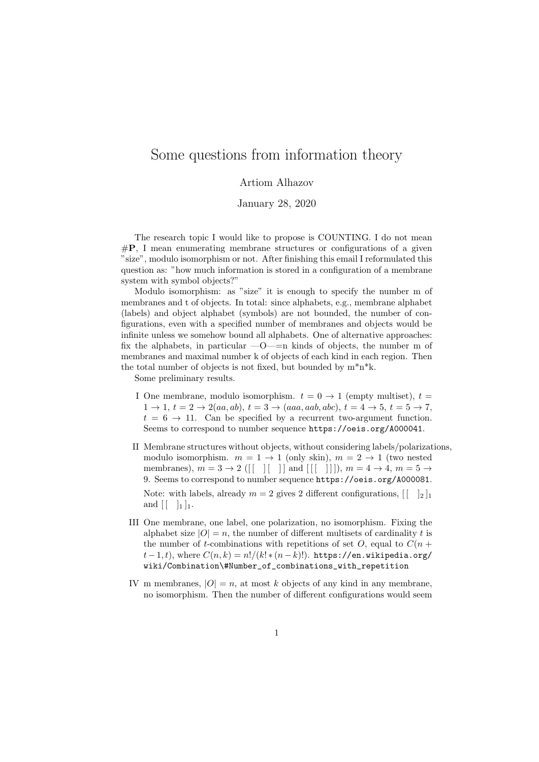## Some questions from information theory

## Artiom Alhazov

January 28, 2020

The research topic I would like to propose is COUNTING. I do not mean  $\#\mathbf{P}$ , I mean enumerating membrane structures or configurations of a given "size", modulo isomorphism or not. After finishing this email I reformulated this question as: "how much information is stored in a configuration of a membrane system with symbol objects?"

Modulo isomorphism: as "size" it is enough to specify the number m of membranes and t of objects. In total: since alphabets, e.g., membrane alphabet (labels) and object alphabet (symbols) are not bounded, the number of configurations, even with a specified number of membranes and objects would be infinite unless we somehow bound all alphabets. One of alternative approaches: fix the alphabets, in particular  $-0$ — $=$ n kinds of objects, the number m of membranes and maximal number k of objects of each kind in each region. Then the total number of objects is not fixed, but bounded by  $m^*n^*k$ .

Some preliminary results.

- I One membrane, modulo isomorphism,  $t = 0 \rightarrow 1$  (empty multiset),  $t =$  $1 \rightarrow 1, t = 2 \rightarrow 2(aa, ab), t = 3 \rightarrow (aaa, aab, abc), t = 4 \rightarrow 5, t = 5 \rightarrow 7,$  $t = 6 \rightarrow 11$ . Can be specified by a recurrent two-argument function. Seems to correspond to number sequence https://oeis.org/A000041.
- II Membrane structures without objects, without considering labels/polarizations, modulo isomorphism.  $m = 1 \rightarrow 1$  (only skin),  $m = 2 \rightarrow 1$  (two nested membranes),  $m = 3 \rightarrow 2$  ([[ ][ ]] and [[[ ]]]),  $m = 4 \rightarrow 4$ ,  $m = 5 \rightarrow$ 9. Seems to correspond to number sequence https://oeis.org/A000081.

Note: with labels, already  $m = 2$  gives 2 different configurations,  $\begin{bmatrix} | & 1_2 \end{bmatrix}$ and  $|| \cdot ||_1 |_1$ .

- III One membrane, one label, one polarization, no isomorphism. Fixing the alphabet size  $|O| = n$ , the number of different multisets of cardinality t is the number of t-combinations with repetitions of set O, equal to  $C(n +$  $t-1, t$ , where  $C(n, k) = n!/(k! * (n-k)!)$ . https://en.wikipedia.org/ wiki/Combination\#Number\_of\_combinations\_with\_repetition
- IV m membranes,  $|O| = n$ , at most k objects of any kind in any membrane, no isomorphism. Then the number of different configurations would seem